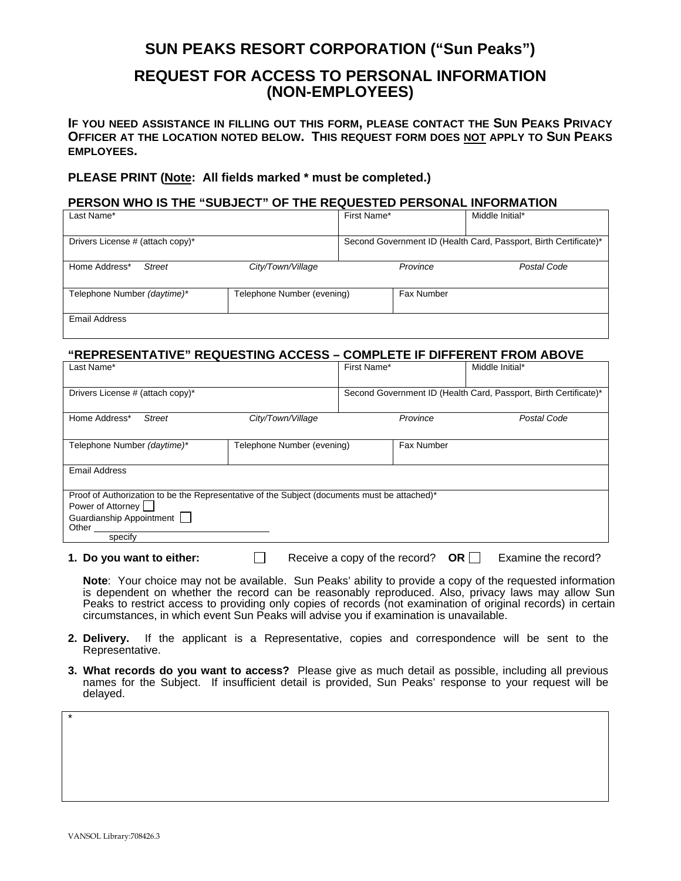# **SUN PEAKS RESORT CORPORATION ("Sun Peaks")**

## **REQUEST FOR ACCESS TO PERSONAL INFORMATION (NON-EMPLOYEES)**

**IF YOU NEED ASSISTANCE IN FILLING OUT THIS FORM, PLEASE CONTACT THE SUN PEAKS PRIVACY OFFICER AT THE LOCATION NOTED BELOW. THIS REQUEST FORM DOES NOT APPLY TO SUN PEAKS EMPLOYEES.** 

### **PLEASE PRINT (Note: All fields marked \* must be completed.)**

#### **PERSON WHO IS THE "SUBJECT" OF THE REQUESTED PERSONAL INFORMATION**

| Last Name*                       |                            | First Name*                                                      |            | Middle Initial* |
|----------------------------------|----------------------------|------------------------------------------------------------------|------------|-----------------|
|                                  |                            |                                                                  |            |                 |
| Drivers License # (attach copy)* |                            | Second Government ID (Health Card, Passport, Birth Certificate)* |            |                 |
|                                  |                            |                                                                  |            |                 |
| Home Address*<br><b>Street</b>   | City/Town/Village          | Province                                                         |            | Postal Code     |
|                                  |                            |                                                                  |            |                 |
| Telephone Number (daytime)*      | Telephone Number (evening) |                                                                  | Fax Number |                 |
|                                  |                            |                                                                  |            |                 |
| Email Address                    |                            |                                                                  |            |                 |
|                                  |                            |                                                                  |            |                 |

## **"REPRESENTATIVE" REQUESTING ACCESS – COMPLETE IF DIFFERENT FROM ABOVE**

| Last Name*                                                                                   |                            | First Name*                                                      |                   | Middle Initial* |  |
|----------------------------------------------------------------------------------------------|----------------------------|------------------------------------------------------------------|-------------------|-----------------|--|
|                                                                                              |                            |                                                                  |                   |                 |  |
| Drivers License # (attach copy)*                                                             |                            | Second Government ID (Health Card, Passport, Birth Certificate)* |                   |                 |  |
|                                                                                              |                            |                                                                  |                   |                 |  |
| Home Address*<br><b>Street</b>                                                               | City/Town/Village          |                                                                  | Province          | Postal Code     |  |
|                                                                                              |                            |                                                                  |                   |                 |  |
| Telephone Number (daytime)*                                                                  | Telephone Number (evening) |                                                                  | <b>Fax Number</b> |                 |  |
|                                                                                              |                            |                                                                  |                   |                 |  |
| <b>Email Address</b>                                                                         |                            |                                                                  |                   |                 |  |
|                                                                                              |                            |                                                                  |                   |                 |  |
| Proof of Authorization to be the Representative of the Subject (documents must be attached)* |                            |                                                                  |                   |                 |  |
| Power of Attorney                                                                            |                            |                                                                  |                   |                 |  |
| Guardianship Appointment                                                                     |                            |                                                                  |                   |                 |  |
| Other                                                                                        |                            |                                                                  |                   |                 |  |
| specify                                                                                      |                            |                                                                  |                   |                 |  |
|                                                                                              |                            |                                                                  |                   |                 |  |

- **1. Do you want to either:**  $\Box$  Receive a copy of the record? **OR** Examine the record?
	-

**Note**: Your choice may not be available. Sun Peaks' ability to provide a copy of the requested information is dependent on whether the record can be reasonably reproduced. Also, privacy laws may allow Sun Peaks to restrict access to providing only copies of records (not examination of original records) in certain circumstances, in which event Sun Peaks will advise you if examination is unavailable.

- **2. Delivery.** If the applicant is a Representative, copies and correspondence will be sent to the Representative.
- **3. What records do you want to access?** Please give as much detail as possible, including all previous names for the Subject. If insufficient detail is provided, Sun Peaks' response to your request will be delayed.